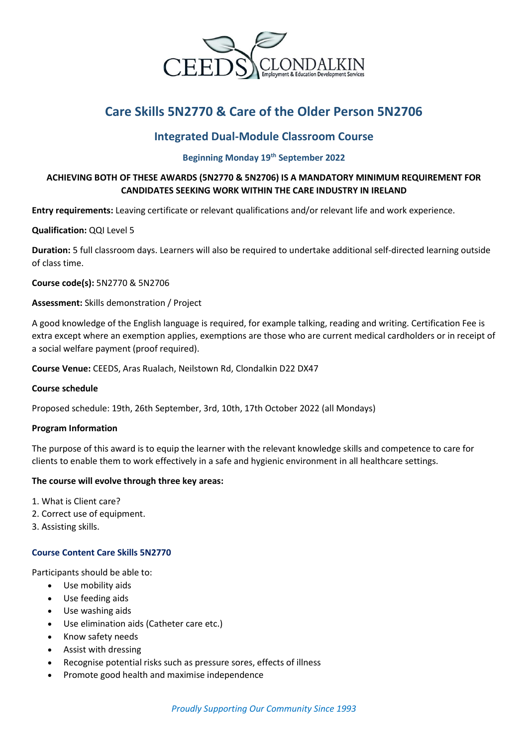

# **Care Skills 5N2770 & Care of the Older Person 5N2706**

# **Integrated Dual-Module Classroom Course**

## **Beginning Monday 19th September 2022**

# **ACHIEVING BOTH OF THESE AWARDS (5N2770 & 5N2706) IS A MANDATORY MINIMUM REQUIREMENT FOR CANDIDATES SEEKING WORK WITHIN THE CARE INDUSTRY IN IRELAND**

**Entry requirements:** Leaving certificate or relevant qualifications and/or relevant life and work experience.

#### **Qualification:** QQI Level 5

**Duration:** 5 full classroom days. Learners will also be required to undertake additional self-directed learning outside of class time.

#### **Course code(s):** 5N2770 & 5N2706

#### **Assessment:** Skills demonstration / Project

A good knowledge of the English language is required, for example talking, reading and writing. Certification Fee is extra except where an exemption applies, exemptions are those who are current medical cardholders or in receipt of a social welfare payment (proof required).

**Course Venue:** CEEDS, Aras Rualach, Neilstown Rd, Clondalkin D22 DX47

#### **Course schedule**

Proposed schedule: 19th, 26th September, 3rd, 10th, 17th October 2022 (all Mondays)

#### **Program Information**

The purpose of this award is to equip the learner with the relevant knowledge skills and competence to care for clients to enable them to work effectively in a safe and hygienic environment in all healthcare settings.

#### **The course will evolve through three key areas:**

- 1. What is Client care?
- 2. Correct use of equipment.
- 3. Assisting skills.

## **Course Content Care Skills 5N2770**

Participants should be able to:

- Use mobility aids
- Use feeding aids
- Use washing aids
- Use elimination aids (Catheter care etc.)
- Know safety needs
- Assist with dressing
- Recognise potential risks such as pressure sores, effects of illness
- Promote good health and maximise independence